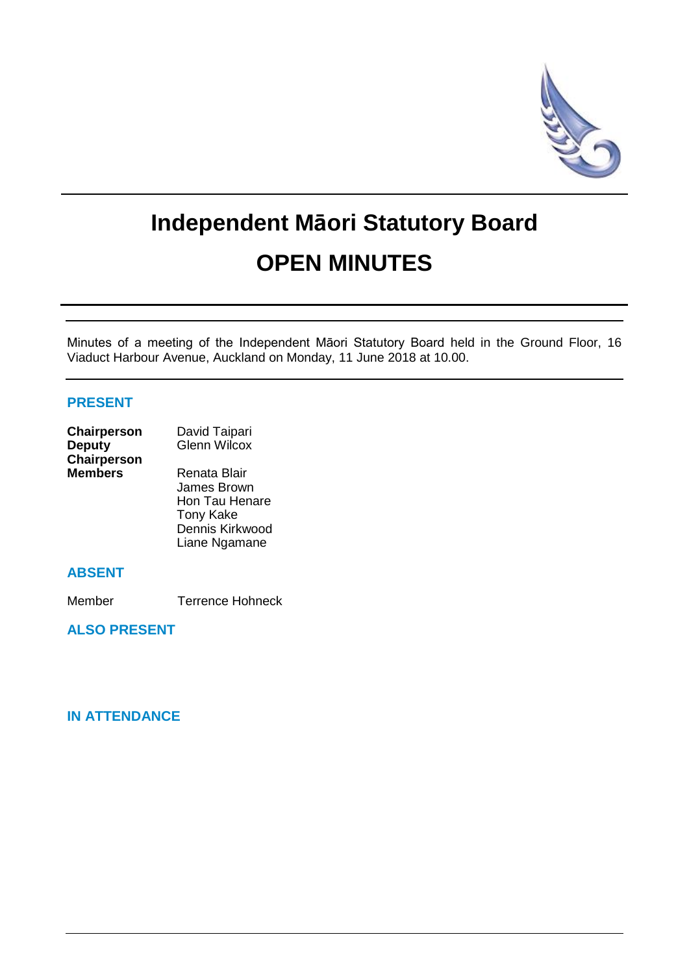

# **Independent Māori Statutory Board OPEN MINUTES**

Minutes of a meeting of the Independent Māori Statutory Board held in the Ground Floor, 16 Viaduct Harbour Avenue, Auckland on Monday, 11 June 2018 at 10.00.

# **PRESENT**

| Chairperson        | David Taipari       |  |
|--------------------|---------------------|--|
| <b>Deputy</b>      | <b>Glenn Wilcox</b> |  |
| <b>Chairperson</b> |                     |  |
| <b>Members</b>     | Renata Blair        |  |
|                    | James Brown         |  |
|                    | Hon Tau Henare      |  |

# **ABSENT**

Member Terrence Hohneck

Tony Kake Dennis Kirkwood Liane Ngamane

**ALSO PRESENT**

# **IN ATTENDANCE**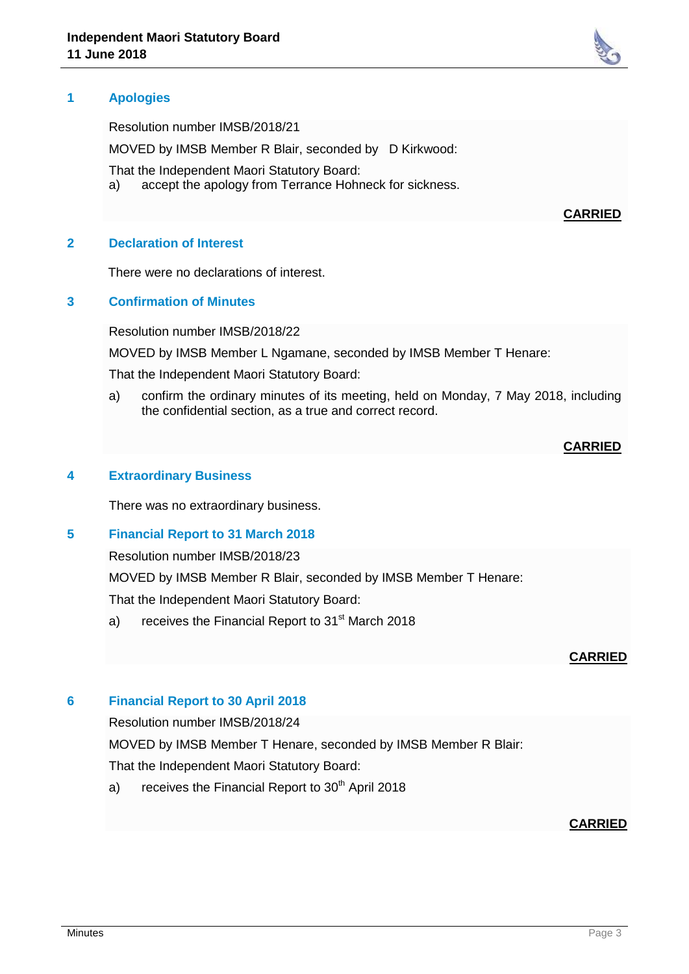# **1 Apologies**

Resolution number IMSB/2018/21

MOVED by IMSB Member R Blair, seconded by D Kirkwood:

That the Independent Maori Statutory Board:

a) accept the apology from Terrance Hohneck for sickness.

#### **CARRIED**

#### **2 Declaration of Interest**

There were no declarations of interest.

#### **3 Confirmation of Minutes**

Resolution number IMSB/2018/22

MOVED by IMSB Member L Ngamane, seconded by IMSB Member T Henare:

That the Independent Maori Statutory Board:

a) confirm the ordinary minutes of its meeting, held on Monday, 7 May 2018, including the confidential section, as a true and correct record.

#### **CARRIED**

#### **4 Extraordinary Business**

There was no extraordinary business.

#### **5 Financial Report to 31 March 2018**

Resolution number IMSB/2018/23

MOVED by IMSB Member R Blair, seconded by IMSB Member T Henare:

That the Independent Maori Statutory Board:

a) receives the Financial Report to 31<sup>st</sup> March 2018

#### **CARRIED**

#### **6 Financial Report to 30 April 2018**

Resolution number IMSB/2018/24

MOVED by IMSB Member T Henare, seconded by IMSB Member R Blair:

That the Independent Maori Statutory Board:

a) receives the Financial Report to  $30<sup>th</sup>$  April 2018

#### **CARRIED**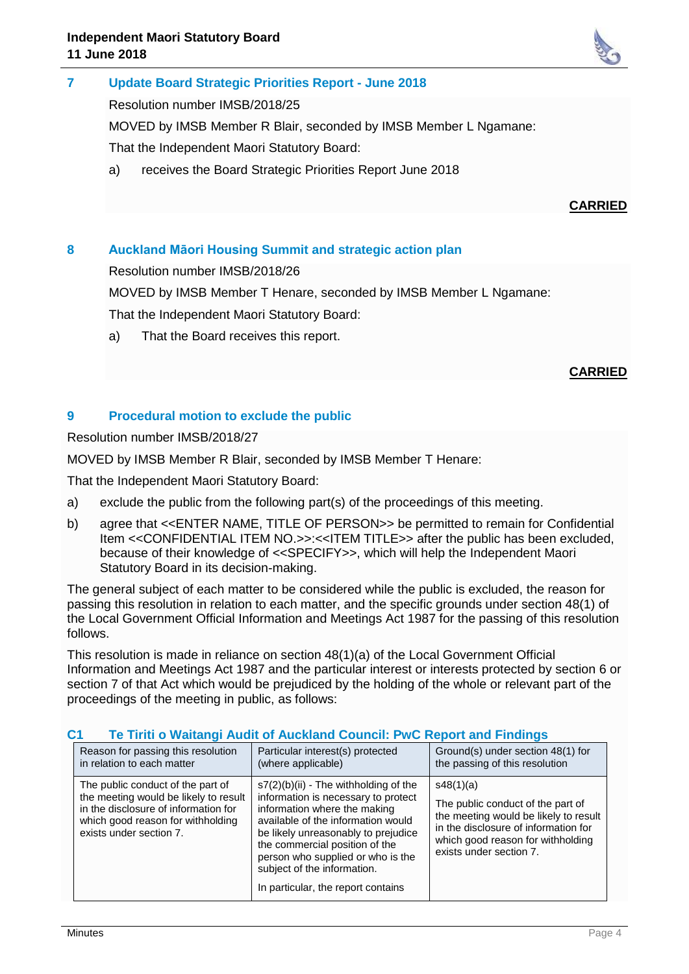

#### **7 Update Board Strategic Priorities Report - June 2018**

Resolution number IMSB/2018/25

MOVED by IMSB Member R Blair, seconded by IMSB Member L Ngamane:

That the Independent Maori Statutory Board:

a) receives the Board Strategic Priorities Report June 2018

# **CARRIED**

# **8 Auckland Māori Housing Summit and strategic action plan**

Resolution number IMSB/2018/26

MOVED by IMSB Member T Henare, seconded by IMSB Member L Ngamane:

That the Independent Maori Statutory Board:

a) That the Board receives this report.

# **CARRIED**

# **9 Procedural motion to exclude the public**

Resolution number IMSB/2018/27

MOVED by IMSB Member R Blair, seconded by IMSB Member T Henare:

That the Independent Maori Statutory Board:

- a) exclude the public from the following part(s) of the proceedings of this meeting.
- b) agree that <<ENTER NAME, TITLE OF PERSON>> be permitted to remain for Confidential Item <<CONFIDENTIAL ITEM NO.>>:<<ITEM TITLE>> after the public has been excluded, because of their knowledge of <<SPECIFY>>, which will help the Independent Maori Statutory Board in its decision-making.

The general subject of each matter to be considered while the public is excluded, the reason for passing this resolution in relation to each matter, and the specific grounds under section 48(1) of the Local Government Official Information and Meetings Act 1987 for the passing of this resolution follows.

This resolution is made in reliance on section 48(1)(a) of the Local Government Official Information and Meetings Act 1987 and the particular interest or interests protected by section 6 or section 7 of that Act which would be prejudiced by the holding of the whole or relevant part of the proceedings of the meeting in public, as follows:

| Reason for passing this resolution<br>Particular interest(s) protected<br>the passing of this resolution<br>in relation to each matter<br>(where applicable)<br>The public conduct of the part of<br>$s7(2)(b)(ii)$ - The withholding of the<br>s48(1)(a)<br>the meeting would be likely to result<br>information is necessary to protect<br>in the disclosure of information for<br>information where the making<br>available of the information would<br>which good reason for withholding<br>exists under section 7. |                                     |                                                                                                                                                         |
|-------------------------------------------------------------------------------------------------------------------------------------------------------------------------------------------------------------------------------------------------------------------------------------------------------------------------------------------------------------------------------------------------------------------------------------------------------------------------------------------------------------------------|-------------------------------------|---------------------------------------------------------------------------------------------------------------------------------------------------------|
|                                                                                                                                                                                                                                                                                                                                                                                                                                                                                                                         |                                     | Ground(s) under section 48(1) for                                                                                                                       |
| the commercial position of the<br>exists under section 7.<br>person who supplied or who is the<br>subject of the information.<br>In particular, the report contains                                                                                                                                                                                                                                                                                                                                                     | be likely unreasonably to prejudice | The public conduct of the part of<br>the meeting would be likely to result<br>in the disclosure of information for<br>which good reason for withholding |

#### **C1 Te Tiriti o Waitangi Audit of Auckland Council: PwC Report and Findings**